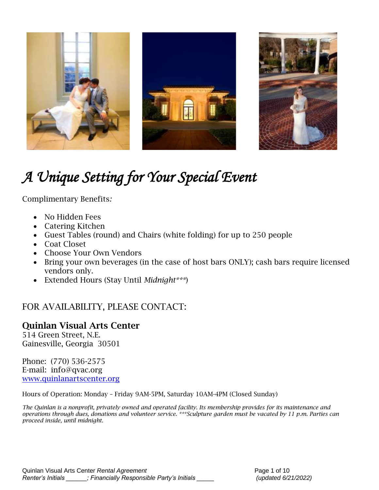

# *A Unique Setting for Your Special Event*

Complimentary Benefits*:*

- No Hidden Fees
- Catering Kitchen
- Guest Tables (round) and Chairs (white folding) for up to 250 people
- Coat Closet
- Choose Your Own Vendors
- Bring your own beverages (in the case of host bars ONLY); cash bars require licensed vendors only.
- Extended Hours (Stay Until *Midnight\*\*\**)

# FOR AVAILABILITY, PLEASE CONTACT:

## Quinlan Visual Arts Center

514 Green Street, N.E. Gainesville, Georgia 30501

Phone: (770) 536-2575 E-mail: info@qvac.org [www.quinlanartscenter.org](http://www.quinlanartscenter.org/)

Hours of Operation: Monday – Friday 9AM-5PM, Saturday 10AM-4PM (Closed Sunday)

*The Quinlan is a nonprofit, privately owned and operated facility. Its membership provides for its maintenance and operations through dues, donations and volunteer service. \*\*\*Sculpture garden must be vacated by 11 p.m. Parties can proceed inside, until midnight.*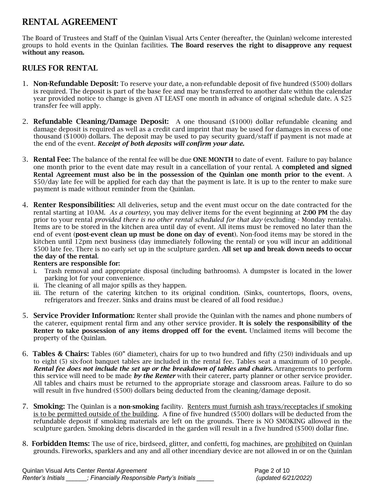## RENTAL AGREEMENT

The Board of Trustees and Staff of the Quinlan Visual Arts Center (hereafter, the Quinlan) welcome interested groups to hold events in the Quinlan facilities. The Board reserves the right to disapprove any request without any reason.

### RULES FOR RENTAL

- 1. **Non-Refundable Deposit:** To reserve your date, a non-refundable deposit of five hundred (\$500) dollars is required. The deposit is part of the base fee and may be transferred to another date within the calendar year provided notice to change is given AT LEAST one month in advance of original schedule date. A \$25 transfer fee will apply.
- 2. **Refundable Cleaning/Damage Deposit:** A one thousand (\$1000) dollar refundable cleaning and damage deposit is required as well as a credit card imprint that may be used for damages in excess of one thousand (\$1000) dollars. The deposit may be used to pay security guard/staff if payment is not made at the end of the event. *Receipt of both deposits will confirm your date.*
- 3. Rental Fee: The balance of the rental fee will be due ONE MONTH to date of event. Failure to pay balance one month prior to the event date may result in a cancellation of your rental. A completed and signed Rental Agreement must also be in the possession of the Quinlan one month prior to the event. A \$50/day late fee will be applied for each day that the payment is late. It is up to the renter to make sure payment is made without reminder from the Quinlan.
- 4. Renter Responsibilities: All deliveries, setup and the event must occur on the date contracted for the rental starting at 10AM. *As a courtesy*, you may deliver items for the event beginning at 2:00 PM the day prior to your rental *provided there is no other rental scheduled for that day* (excluding - Monday rentals). Items are to be stored in the kitchen area until day of event. All items must be removed no later than the end of event (post-event clean up must be done on day of event)*.* Non-food items may be stored in the kitchen until 12pm next business (day immediately following the rental) or you will incur an additional \$500 late fee. There is no early set up in the sculpture garden. All set up and break down needs to occur the day of the rental.

#### Renters are responsible for:

- i. Trash removal and appropriate disposal (including bathrooms). A dumpster is located in the lower parking lot for your convenience.
- ii. The cleaning of all major spills as they happen.
- iii. The return of the catering kitchen to its original condition. (Sinks, countertops, floors, ovens, refrigerators and freezer. Sinks and drains must be cleared of all food residue.)
- 5. Service Provider Information: Renter shall provide the Quinlan with the names and phone numbers of the caterer, equipment rental firm and any other service provider. It is solely the responsibility of the Renter to take possession of any items dropped off for the event. Unclaimed items will become the property of the Quinlan.
- 6. Tables & Chairs: Tables (60" diameter), chairs for up to two hundred and fifty (250) individuals and up to eight (5) six-foot banquet tables are included in the rental fee. Tables seat a maximum of 10 people. *Rental fee does not include the set up or the breakdown of tables and chairs.* Arrangements to perform this service will need to be made *by the Renter* with their caterer, party planner or other service provider. All tables and chairs must be returned to the appropriate storage and classroom areas. Failure to do so will result in five hundred (\$500) dollars being deducted from the cleaning/damage deposit.
- 7. **Smoking:** The Quinlan is a **non-smoking** facility. Renters must furnish ash trays/receptacles if smoking is to be permitted outside of the building. A fine of five hundred (\$500) dollars will be deducted from the refundable deposit if smoking materials are left on the grounds. There is NO SMOKING allowed in the sculpture garden. Smoking debris discarded in the garden will result in a five hundred (\$500) dollar fine.
- 8. Forbidden Items: The use of rice, birdseed, glitter, and confetti, fog machines, are prohibited on Quinlan grounds. Fireworks, sparklers and any and all other incendiary device are not allowed in or on the Quinlan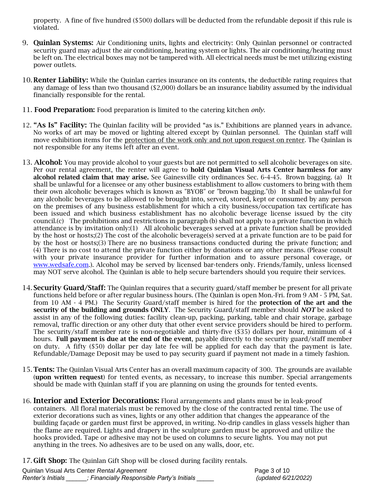property. A fine of five hundred (\$500) dollars will be deducted from the refundable deposit if this rule is violated.

- 9. Quinlan Systems: Air Conditioning units, lights and electricity: Only Quinlan personnel or contracted security guard may adjust the air conditioning, heating system or lights. The air conditioning/heating must be left on. The electrical boxes may not be tampered with. All electrical needs must be met utilizing existing power outlets.
- 10. **Renter Liability:** While the Quinlan carries insurance on its contents, the deductible rating requires that any damage of less than two thousand (\$2,000) dollars be an insurance liability assumed by the individual financially responsible for the rental.
- 11. Food Preparation: Food preparation is limited to the catering kitchen *only*.
- 12. "As Is" Facility: The Quinlan facility will be provided "as is." Exhibitions are planned years in advance. No works of art may be moved or lighting altered except by Quinlan personnel. The Quinlan staff will move exhibition items for the protection of the work only and not upon request on renter. The Quinlan is not responsible for any items left after an event.
- 13. Alcohol: You may provide alcohol to your guests but are not permitted to sell alcoholic beverages on site. Per our rental agreement, the renter will agree to **hold Quinlan Visual Arts Center harmless for any** alcohol related claim that may arise. See Gainesville city ordinances Sec. 6-4-45. Brown bagging. (a) It shall be unlawful for a licensee or any other business establishment to allow customers to bring with them their own alcoholic beverages which is known as "BYOB" or "brown bagging."(b) It shall be unlawful for any alcoholic beverages to be allowed to be brought into, served, stored, kept or consumed by any person on the premises of any business establishment for which a city business/occupation tax certificate has been issued and which business establishment has no alcoholic beverage license issued by the city council.(c) The prohibitions and restrictions in paragraph (b) shall not apply to a private function in which attendance is by invitation only:(1) All alcoholic beverages served at a private function shall be provided by the host or hosts;(2) The cost of the alcoholic beverage(s) served at a private function are to be paid for by the host or hosts;(3) There are no business transactions conducted during the private function; and (4) There is no cost to attend the private function either by donations or any other means. (Please consult with your private insurance provider for further information and to assure personal coverage, or [www.wedsafe.com.](http://www.wedsafe.com/)). Alcohol may be served by licensed bar-tenders only. Friends/family, unless licensed may NOT serve alcohol. The Quinlan is able to help secure bartenders should you require their services.
- 14. Security Guard/Staff: The Quinlan requires that a security guard/staff member be present for all private functions held before or after regular business hours. (The Quinlan is open Mon.-Fri. from 9 AM - 5 PM, Sat. from 10 AM - 4 PM.) The Security Guard/staff member is hired for the **protection of the art and the** security of the building and grounds ONLY. The Security Guard/staff member should *NOT* be asked to assist in any of the following duties: facility clean-up, packing, parking, table and chair storage, garbage removal, traffic direction or any other duty that other event service providers should be hired to perform. The security/staff member rate is non-negotiable and thirty-five (\$35) dollars per hour, minimum of 4 hours. Full payment is due at the end of the event, payable directly to the security guard/staff member on duty. A fifty (\$50) dollar per day late fee will be applied for each day that the payment is late. Refundable/Damage Deposit may be used to pay security guard if payment not made in a timely fashion.
- 15. Tents: The Quinlan Visual Arts Center has an overall maximum capacity of 300. The grounds are available (upon written request) for tented events, as necessary, to increase this number. Special arrangements should be made with Quinlan staff if you are planning on using the grounds for tented events.
- 16. **Interior and Exterior Decorations:** Floral arrangements and plants must be in leak-proof containers. All floral materials must be removed by the close of the contracted rental time. The use of exterior decorations such as vines, lights or any other addition that changes the appearance of the building façade or garden must first be approved, in writing. No-drip candles in glass vessels higher than the flame are required. Lights and drapery in the sculpture garden must be approved and utilize the hooks provided. Tape or adhesive may not be used on columns to secure lights. You may not put anything in the trees. No adhesives are to be used on any walls, door, etc.

17. Gift Shop: The Quinlan Gift Shop will be closed during facility rentals.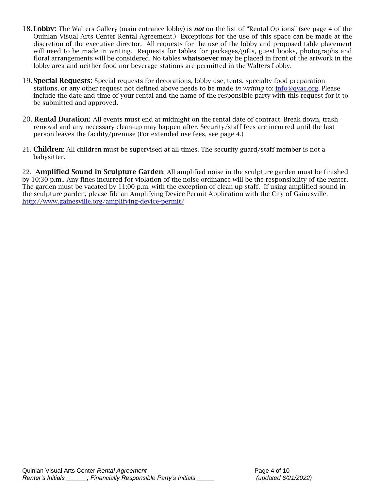- 18. Lobby: The Walters Gallery (main entrance lobby) is *not* on the list of "Rental Options" (see page 4 of the Quinlan Visual Arts Center Rental Agreement.) Exceptions for the use of this space can be made at the discretion of the executive director. All requests for the use of the lobby and proposed table placement will need to be made in writing. Requests for tables for packages/gifts, guest books, photographs and floral arrangements will be considered. No tables whatsoever may be placed in front of the artwork in the lobby area and neither food nor beverage stations are permitted in the Walters Lobby.
- 19. **Special Requests:** Special requests for decorations, lobby use, tents, specialty food preparation stations, or any other request not defined above needs to be made *in writing* to: [info@qvac.org.](mailto:info@qvac.org) Please include the date and time of your rental and the name of the responsible party with this request for it to be submitted and approved.
- 20. Rental Duration: All events must end at midnight on the rental date of contract. Break down, trash removal and any necessary clean-up may happen after. Security/staff fees are incurred until the last person leaves the facility/premise (For extended use fees, see page 4.)
- 21. Children: All children must be supervised at all times. The security guard/staff member is not a babysitter.

22. **Amplified Sound in Sculpture Garden**: All amplified noise in the sculpture garden must be finished by 10:30 p.m.. Any fines incurred for violation of the noise ordinance will be the responsibility of the renter. The garden must be vacated by 11:00 p.m. with the exception of clean up staff. If using amplified sound in the sculpture garden, please file an Amplifying Device Permit Application with the City of Gainesville. <http://www.gainesville.org/amplifying-device-permit/>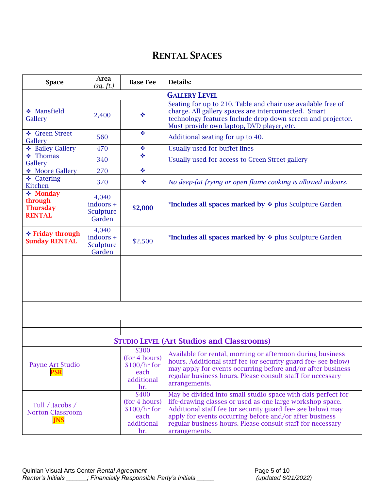# RENTAL SPACES

| <b>Space</b>                                             | Area<br>(sq. ft.)                           | <b>Base Fee</b>                                                      | <b>Details:</b>                                                                                                                                                                                                                                                                                                                   |
|----------------------------------------------------------|---------------------------------------------|----------------------------------------------------------------------|-----------------------------------------------------------------------------------------------------------------------------------------------------------------------------------------------------------------------------------------------------------------------------------------------------------------------------------|
|                                                          |                                             |                                                                      | <b>GALLERY LEVEL</b>                                                                                                                                                                                                                                                                                                              |
| ❖ Mansfield<br>Gallery                                   | 2,400                                       | ÷                                                                    | Seating for up to 210. Table and chair use available free of<br>charge. All gallery spaces are interconnected. Smart<br>technology features Include drop down screen and projector.<br>Must provide own laptop, DVD player, etc.                                                                                                  |
| ❖ Green Street<br>Gallery                                | 560                                         | ÷                                                                    | Additional seating for up to 40.                                                                                                                                                                                                                                                                                                  |
| ❖ Bailey Gallery                                         | 470                                         | ÷                                                                    | <b>Usually used for buffet lines</b>                                                                                                                                                                                                                                                                                              |
| $\div$ Thomas<br>Gallery                                 | 340                                         | ÷                                                                    | Usually used for access to Green Street gallery                                                                                                                                                                                                                                                                                   |
| Moore Gallery                                            | 270                                         | ÷                                                                    |                                                                                                                                                                                                                                                                                                                                   |
| ❖ Catering<br>Kitchen                                    | 370                                         | ❖                                                                    | No deep-fat frying or open flame cooking is allowed indoors.                                                                                                                                                                                                                                                                      |
| ❖ Monday<br>through<br><b>Thursday</b><br><b>RENTAL</b>  | 4,040<br>$indoors +$<br>Sculpture<br>Garden | \$2,000                                                              | *Includes all spaces marked by $\div$ plus Sculpture Garden                                                                                                                                                                                                                                                                       |
| ❖ Friday through<br><b>Sunday RENTAL</b>                 | 4,040<br>indoors +<br>Sculpture<br>Garden   | \$2,500                                                              | *Includes all spaces marked by $\div$ plus Sculpture Garden                                                                                                                                                                                                                                                                       |
|                                                          |                                             |                                                                      |                                                                                                                                                                                                                                                                                                                                   |
|                                                          |                                             |                                                                      |                                                                                                                                                                                                                                                                                                                                   |
|                                                          |                                             |                                                                      |                                                                                                                                                                                                                                                                                                                                   |
|                                                          |                                             |                                                                      | <b>STUDIO LEVEL (Art Studios and Classrooms)</b>                                                                                                                                                                                                                                                                                  |
| Payne Art Studio<br><u>PSR</u>                           |                                             | \$300<br>(for 4 hours)<br>$$100/hr$ for<br>each<br>additional<br>hr. | Available for rental, morning or afternoon during business<br>hours. Additional staff fee (or security guard fee-see below)<br>may apply for events occurring before and/or after business<br>regular business hours. Please consult staff for necessary<br>arrangements.                                                         |
| Tull / Jacobs /<br><b>Norton Classroom</b><br><b>JNS</b> |                                             | \$400<br>(for 4 hours)<br>$$100/hr$ for<br>each<br>additional<br>hr. | May be divided into small studio space with dais perfect for<br>life-drawing classes or used as one large workshop space.<br>Additional staff fee (or security guard fee-see below) may<br>apply for events occurring before and/or after business<br>regular business hours. Please consult staff for necessary<br>arrangements. |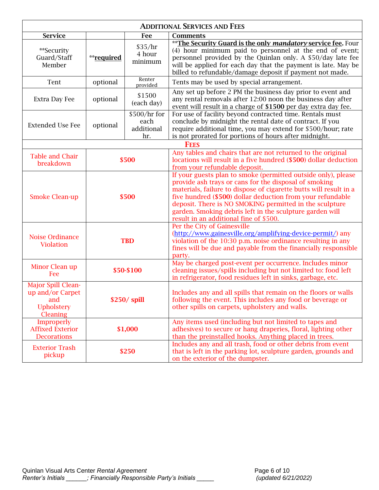| <b>ADDITIONAL SERVICES AND FEES</b>                                                   |               |                                            |                                                                                                                                                                                                                                                                                                                                                                                                                            |
|---------------------------------------------------------------------------------------|---------------|--------------------------------------------|----------------------------------------------------------------------------------------------------------------------------------------------------------------------------------------------------------------------------------------------------------------------------------------------------------------------------------------------------------------------------------------------------------------------------|
| <b>Service</b>                                                                        |               | Fee                                        | <b>Comments</b>                                                                                                                                                                                                                                                                                                                                                                                                            |
| **Security<br>Guard/Staff<br>Member                                                   | **required    | \$35/hr<br>4 hour<br>minimum               | ** The Security Guard is the only <i>mandatory</i> service fee. Four<br>(4) hour minimum paid to personnel at the end of event;<br>personnel provided by the Quinlan only. A \$50/day late fee<br>will be applied for each day that the payment is late. May be<br>billed to refundable/damage deposit if payment not made.                                                                                                |
| Tent                                                                                  | optional      | Renter<br>provided                         | Tents may be used by special arrangement.                                                                                                                                                                                                                                                                                                                                                                                  |
| Extra Day Fee                                                                         | optional      | \$1500<br>(each day)                       | Any set up before 2 PM the business day prior to event and<br>any rental removals after 12:00 noon the business day after<br>event will result in a charge of \$1500 per day extra day fee.                                                                                                                                                                                                                                |
| <b>Extended Use Fee</b>                                                               | optional      | $$500/hr$ for<br>each<br>additional<br>hr. | For use of facility beyond contracted time. Rentals must<br>conclude by midnight the rental date of contract. If you<br>require additional time, you may extend for \$500/hour; rate<br>is not prorated for portions of hours after midnight.                                                                                                                                                                              |
|                                                                                       |               |                                            | <b>FEES</b>                                                                                                                                                                                                                                                                                                                                                                                                                |
| <b>Table and Chair</b><br>breakdown                                                   | \$500         |                                            | Any tables and chairs that are not returned to the original<br>locations will result in a five hundred (\$500) dollar deduction<br>from your refundable deposit.                                                                                                                                                                                                                                                           |
| <b>Smoke Clean-up</b>                                                                 | \$500         |                                            | If your guests plan to smoke (permitted outside only), please<br>provide ash trays or cans for the disposal of smoking<br>materials, failure to dispose of cigarette butts will result in a<br>five hundred (\$500) dollar deduction from your refundable<br>deposit. There is NO SMOKING permitted in the sculpture<br>garden. Smoking debris left in the sculpture garden will<br>result in an additional fine of \$500. |
| <b>Noise Ordinance</b><br><b>Violation</b>                                            | <b>TBD</b>    |                                            | Per the City of Gainesville<br>(http://www.gainesville.org/amplifying-device-permit/) any<br>violation of the 10:30 p.m. noise ordinance resulting in any<br>fines will be due and payable from the financially responsible<br>party.                                                                                                                                                                                      |
| Minor Clean up<br>Fee                                                                 | \$50-\$100    |                                            | May be charged post-event per occurrence. Includes minor<br>cleaning issues/spills including but not limited to: food left<br>in refrigerator, food residues left in sinks, garbage, etc.                                                                                                                                                                                                                                  |
| Major Spill Clean-<br>up and/or Carpet<br>and<br><b>Upholstery</b><br><b>Cleaning</b> | $$250/$ spill |                                            | Includes any and all spills that remain on the floors or walls<br>following the event. This includes any food or beverage or<br>other spills on carpets, upholstery and walls.                                                                                                                                                                                                                                             |
| Improperly<br><b>Affixed Exterior</b><br><b>Decorations</b>                           | \$1,000       |                                            | Any items used (including but not limited to tapes and<br>adhesives) to secure or hang draperies, floral, lighting other<br>than the preinstalled hooks. Anything placed in trees.                                                                                                                                                                                                                                         |
| <b>Exterior Trash</b><br>pickup                                                       |               | \$250                                      | Includes any and all trash, food or other debris from event<br>that is left in the parking lot, sculpture garden, grounds and<br>on the exterior of the dumpster.                                                                                                                                                                                                                                                          |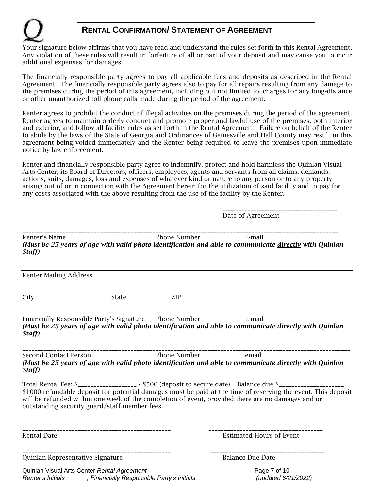## **RENTAL CONFIRMATION/ STATEMENT OF AGREEMENT**

Your signature below affirms that you have read and understand the rules set forth in this Rental Agreement*.* Any violation of these rules will result in forfeiture of all or part of your deposit and may cause you to incur additional expenses for damages.

The financially responsible party agrees to pay all applicable fees and deposits as described in the Rental Agreement. The financially responsible party agrees also to pay for all repairs resulting from any damage to the premises during the period of this agreement, including but not limited to, charges for any long-distance or other unauthorized toll phone calls made during the period of the agreement.

Renter agrees to prohibit the conduct of illegal activities on the premises during the period of the agreement. Renter agrees to maintain orderly conduct and promote proper and lawful use of the premises, both interior and exterior, and follow all facility rules as set forth in the Rental Agreement. Failure on behalf of the Renter to abide by the laws of the State of Georgia and Ordinances of Gainesville and Hall County may result in this agreement being voided immediately and the Renter being required to leave the premises upon immediate notice by law enforcement.

Renter and financially responsible party agree to indemnify, protect and hold harmless the Quinlan Visual Arts Center, its Board of Directors, officers, employees, agents and servants from all claims, demands, actions, suits, damages, loss and expenses of whatever kind or nature to any person or to any property arising out of or in connection with the Agreement herein for the utilization of said facility and to pay for any costs associated with the above resulting from the use of the facility by the Renter.

|                                                                                                                   |                           |                            | -------------------------------<br>Date of Agreement                                                                                                                                                                                                                                                                          |
|-------------------------------------------------------------------------------------------------------------------|---------------------------|----------------------------|-------------------------------------------------------------------------------------------------------------------------------------------------------------------------------------------------------------------------------------------------------------------------------------------------------------------------------|
| Renter's Name<br>Staff)                                                                                           |                           | Phone Number <b>E-mail</b> | -----------------------<br>(Must be 25 years of age with valid photo identification and able to communicate directly with Quinlan                                                                                                                                                                                             |
| <b>Renter Mailing Address</b>                                                                                     |                           |                            |                                                                                                                                                                                                                                                                                                                               |
| City                                                                                                              | State                     | ZIP                        |                                                                                                                                                                                                                                                                                                                               |
| Financially Responsible Party's Signature Phone Number E-mail<br>Staff)                                           |                           |                            | (Must be 25 years of age with valid photo identification and able to communicate directly with Quinlan                                                                                                                                                                                                                        |
| Second Contact Person <b>Example 2</b> Phone Number <b>Property</b> email<br>Staff)                               | ------------------------- |                            | (Must be 25 years of age with valid photo identification and able to communicate directly with Quinlan                                                                                                                                                                                                                        |
| outstanding security guard/staff member fees.                                                                     |                           |                            | Total Rental Fee: \$___________________ - \$500 (deposit to secure date) = Balance due \$______________<br>\$1000 refundable deposit for potential damages must be paid at the time of reserving the event. This deposit<br>will be refunded within one week of the completion of event, provided there are no damages and or |
| Rental Date                                                                                                       |                           |                            | <b>Estimated Hours of Event</b>                                                                                                                                                                                                                                                                                               |
| Quinlan Representative Signature                                                                                  | _________________________ |                            | <b>Balance Due Date</b>                                                                                                                                                                                                                                                                                                       |
| Quinlan Visual Arts Center Rental Agreement<br>Renter's Initials ______; Financially Responsible Party's Initials |                           |                            | Page 7 of 10<br>(updated 6/21/2022)                                                                                                                                                                                                                                                                                           |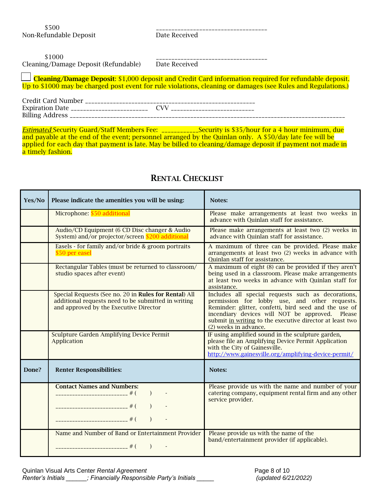\$500 \_\_\_\_\_\_\_\_\_\_\_\_\_\_\_\_\_\_\_\_\_\_\_\_\_\_\_\_\_\_\_\_\_\_\_\_ Non-Refundable Deposit Date Received

| \$1000                               |               |
|--------------------------------------|---------------|
| Cleaning/Damage Deposit (Refundable) | Date Received |

 Cleaning/Damage Deposit: \$1,000 deposit and Credit Card information required for refundable deposit. Up to \$1000 may be charged post event for rule violations, cleaning or damages (see Rules and Regulations.)

| <b>Credit Card Number</b>               |  |
|-----------------------------------------|--|
| Expiration Date _______________________ |  |
| <b>Billing Address</b>                  |  |

*Estimated* Security Guard/Staff Members Fee: \_\_\_\_\_\_\_\_\_\_\_\_Security is \$35/hour for a 4 hour minimum, due and payable at the end of the event; personnel arranged by the Quinlan only. A \$50/day late fee will be applied for each day that payment is late. May be billed to cleaning/damage deposit if payment not made in a timely fashion.

| Yes/No | Please indicate the amenities you will be using:                                                                                                       | Notes:                                                                                                                                                                                                                                                                                               |
|--------|--------------------------------------------------------------------------------------------------------------------------------------------------------|------------------------------------------------------------------------------------------------------------------------------------------------------------------------------------------------------------------------------------------------------------------------------------------------------|
|        | Microphone: \$50 additional                                                                                                                            | Please make arrangements at least two weeks in<br>advance with Quinlan staff for assistance.                                                                                                                                                                                                         |
|        | Audio/CD Equipment (6 CD Disc changer & Audio<br>System) and/or projector/screen \$200 additional                                                      | Please make arrangements at least two (2) weeks in<br>advance with Quinlan staff for assistance.                                                                                                                                                                                                     |
|        | Easels - for family and/or bride & groom portraits<br>\$50 per easel                                                                                   | A maximum of three can be provided. Please make<br>arrangements at least two (2) weeks in advance with<br>Quinlan staff for assistance.                                                                                                                                                              |
|        | Rectangular Tables (must be returned to classroom/<br>studio spaces after event)                                                                       | A maximum of eight (8) can be provided if they aren't<br>being used in a classroom. Please make arrangements<br>at least two weeks in advance with Quinlan staff for<br>assistance.                                                                                                                  |
|        | Special Requests (See no. 20 in Rules for Rental) All<br>additional requests need to be submitted in writing<br>and approved by the Executive Director | Includes all special requests such as decorations,<br>permission for lobby use, and other requests.<br>Reminder: glitter, confetti, bird seed and the use of<br>incendiary devices will NOT be approved. Please<br>submit in writing to the executive director at least two<br>(2) weeks in advance. |
|        | Sculpture Garden Amplifying Device Permit<br>Application                                                                                               | IF using amplified sound in the sculpture garden,<br>please file an Amplifying Device Permit Application<br>with the City of Gainesville.<br>http://www.gainesville.org/amplifying-device-permit/                                                                                                    |
| Done?  | <b>Renter Responsibilities:</b>                                                                                                                        | Notes:                                                                                                                                                                                                                                                                                               |
|        | <b>Contact Names and Numbers:</b><br>$\rightarrow$                                                                                                     | Please provide us with the name and number of your<br>catering company, equipment rental firm and any other<br>service provider.                                                                                                                                                                     |
|        | Name and Number of Band or Entertainment Provider<br>$\left( \begin{array}{c} \end{array} \right)$                                                     | Please provide us with the name of the<br>band/entertainment provider (if applicable).                                                                                                                                                                                                               |

## RENTAL CHECKLIST

Quinlan Visual Arts Center *Rental Agreement* Page 8 of 10 *Renter's Initials \_\_\_\_\_\_; Financially Responsible Party's Initials \_\_\_\_\_ (updated 6/21/2022)*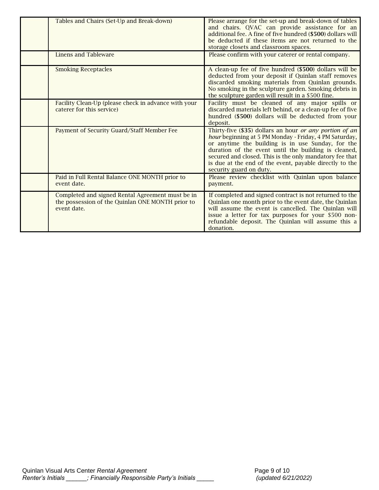| Tables and Chairs (Set-Up and Break-down)                                                                           | Please arrange for the set-up and break-down of tables<br>and chairs. QVAC can provide assistance for an<br>additional fee. A fine of five hundred (\$500) dollars will<br>be deducted if these items are not returned to the<br>storage closets and classroom spaces.                                                                                                          |
|---------------------------------------------------------------------------------------------------------------------|---------------------------------------------------------------------------------------------------------------------------------------------------------------------------------------------------------------------------------------------------------------------------------------------------------------------------------------------------------------------------------|
| Linens and Tableware                                                                                                | Please confirm with your caterer or rental company.                                                                                                                                                                                                                                                                                                                             |
| <b>Smoking Receptacles</b>                                                                                          | A clean-up fee of five hundred (\$500) dollars will be<br>deducted from your deposit if Quinlan staff removes<br>discarded smoking materials from Quinlan grounds.<br>No smoking in the sculpture garden. Smoking debris in<br>the sculpture garden will result in a \$500 fine.                                                                                                |
| Facility Clean-Up (please check in advance with your<br>caterer for this service)                                   | Facility must be cleaned of any major spills or<br>discarded materials left behind, or a clean-up fee of five<br>hundred (\$500) dollars will be deducted from your<br>deposit.                                                                                                                                                                                                 |
| Payment of Security Guard/Staff Member Fee                                                                          | Thirty-five (\$35) dollars an hour or any portion of an<br>hour beginning at 5 PM Monday - Friday, 4 PM Saturday,<br>or anytime the building is in use Sunday, for the<br>duration of the event until the building is cleaned,<br>secured and closed. This is the only mandatory fee that<br>is due at the end of the event, payable directly to the<br>security guard on duty. |
| Paid in Full Rental Balance ONE MONTH prior to<br>event date.                                                       | Please review checklist with Quinlan upon balance<br>payment.                                                                                                                                                                                                                                                                                                                   |
| Completed and signed Rental Agreement must be in<br>the possession of the Quinlan ONE MONTH prior to<br>event date. | If completed and signed contract is not returned to the<br>Quinlan one month prior to the event date, the Quinlan<br>will assume the event is cancelled. The Quinlan will<br>issue a letter for tax purposes for your \$500 non-<br>refundable deposit. The Quinlan will assume this a<br>donation.                                                                             |